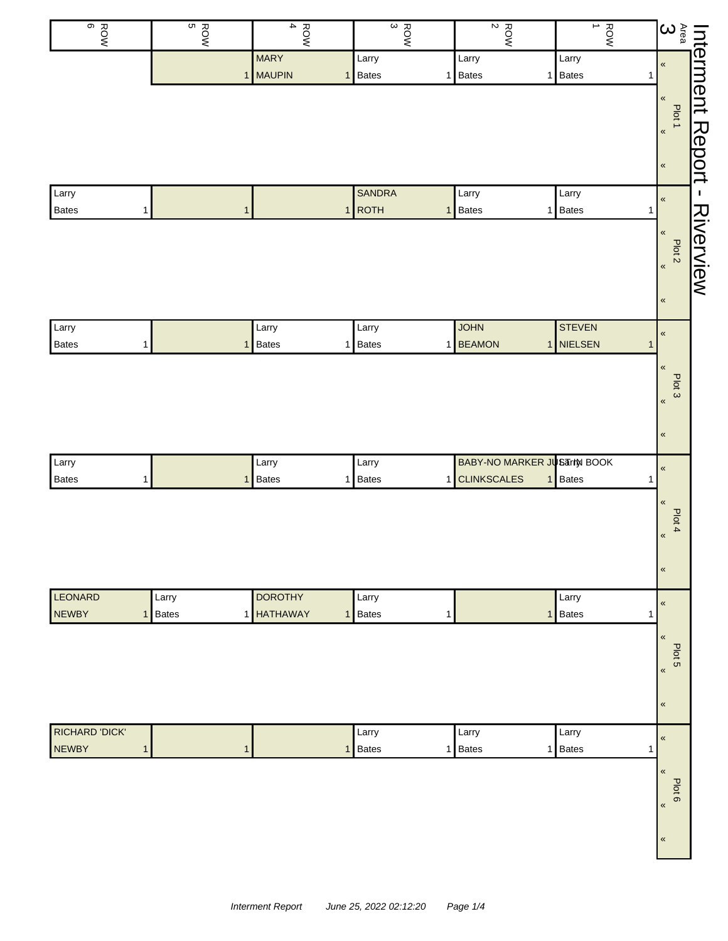| ROW<br>G                                       | ຕ<br><b>ROW</b>       | $\overline{\mathbf{4}}$<br>ROW          | $\frac{ROW}{3}$                           | $\boldsymbol{\mathsf{N}}$<br>ROW                                        | ROW<br>∸                              |                                                                                                                                                                    |           |
|------------------------------------------------|-----------------------|-----------------------------------------|-------------------------------------------|-------------------------------------------------------------------------|---------------------------------------|--------------------------------------------------------------------------------------------------------------------------------------------------------------------|-----------|
|                                                |                       | <b>MARY</b><br>1 MAUPIN<br>$\mathbf{1}$ | Larry<br>Bates<br>1                       | Larry<br>Bates<br>$\mathbf{1}$                                          | Larry<br><b>Bates</b><br>$\mathbf{1}$ |                                                                                                                                                                    |           |
|                                                |                       |                                         |                                           |                                                                         |                                       | $\begin{tabular}{ l l } \hline htermment & \multicolumn{2}{c }{\rule{2pt}{.1ex}\hspace{-2.2pt}}\hline \end{tabular}$<br>Plot 1<br>$\pmb{\kappa}$<br>$\pmb{\kappa}$ | Report    |
| Larry<br>Bates<br>$\mathbf{1}$                 | $\mathbf{1}$          |                                         | <b>SANDRA</b><br>$1$ ROTH<br>$\mathbf{1}$ | Larry<br>Bates<br>$\mathbf{1}$                                          | Larry<br><b>Bates</b><br>$\mathbf{1}$ | $\pmb{\kappa}$                                                                                                                                                     | J.        |
|                                                |                       |                                         |                                           |                                                                         |                                       | $\pmb{\kappa}$<br>Plot <sub>2</sub><br>$\pmb{\kappa}$<br>$\pmb{\alpha}$                                                                                            | Riverview |
| Larry                                          |                       | Larry                                   | Larry                                     | <b>JOHN</b>                                                             | <b>STEVEN</b>                         | $\pmb{\kappa}$                                                                                                                                                     |           |
| <b>Bates</b><br>1                              | $\mathbf 1$           | <b>Bates</b>                            | 1 Bates<br>1                              | <b>BEAMON</b>                                                           | 1 NIELSEN<br>$\mathbf{1}$             | $\,\alpha$<br>Plot 3<br>$\pmb{\kappa}$<br>$\pmb{\kappa}$                                                                                                           |           |
| Larry<br>Bates<br>$\mathbf{1}$                 | $\overline{1}$        | Larry<br><b>Bates</b>                   | Larry<br>1 Bates<br>$\mathbf{1}$          | <b>BABY-NO MARKER JUSTIN BOOK</b><br><b>CLINKSCALES</b><br>$\mathbf{1}$ | Bates<br>1                            | $\pmb{\kappa}$                                                                                                                                                     |           |
|                                                |                       |                                         |                                           |                                                                         |                                       | $\pmb{\ll}$<br>Plot 4<br>$\pmb{\alpha}$<br>$\pmb{\kappa}$                                                                                                          |           |
| <b>LEONARD</b><br><b>NEWBY</b><br>$\mathbf{1}$ | Larry<br><b>Bates</b> | <b>DOROTHY</b><br>1 HATHAWAY            | Larry<br>1 Bates<br>1                     | $\mathbf{1}$                                                            | Larry<br>Bates<br>1                   | $\pmb{\kappa}$                                                                                                                                                     |           |
|                                                |                       |                                         |                                           |                                                                         |                                       | $\pmb{\ll}$<br>Plot 5<br>$\pmb{\kappa}$<br>$\pmb{\kappa}$                                                                                                          |           |
| <b>RICHARD 'DICK'</b>                          |                       |                                         | Larry                                     | Larry                                                                   | Larry                                 | $\pmb{\kappa}$                                                                                                                                                     |           |
| <b>NEWBY</b><br>$\mathbf{1}$                   | $\mathbf{1}$          | $\mathbf{1}$                            | Bates<br>1                                | Bates<br>1                                                              | Bates<br>$\overline{1}$               | $\pmb{\ll}$<br>Plot 6<br>$\langle$<br>$\pmb{\kappa}$                                                                                                               |           |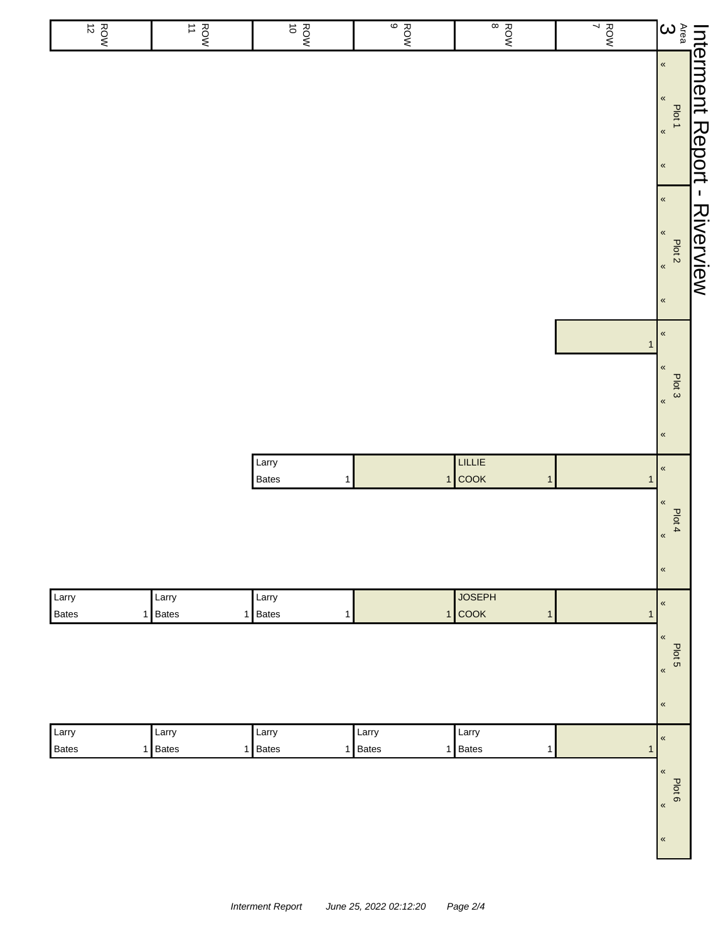| ROW<br>12      | $\frac{ROW}{11}$                   | ROW<br>ROW                     | ROW<br>BOW       | $\frac{1}{8}$                             | ROW          | $\sum\limits_{\alpha\in\mathfrak{Q}}$                                          |                    |
|----------------|------------------------------------|--------------------------------|------------------|-------------------------------------------|--------------|--------------------------------------------------------------------------------|--------------------|
|                |                                    |                                |                  |                                           |              | $\pmb{\alpha}$<br>$\,\,\ll$<br>Plot 1<br>$\langle\!\langle$<br>$\pmb{\ll}$     | Interment Report - |
|                |                                    |                                |                  |                                           |              | $\pmb{\kappa}$<br>$\pmb{\kappa}$<br>Plot 2<br>$\pmb{\alpha}$<br>$\,\,\ll$      | <b>Riverview</b>   |
|                |                                    |                                |                  |                                           | $\mathbf{1}$ | $\pmb{\kappa}$<br>$\pmb{\ll}$<br>Plot 3<br>$\pmb{\kappa}$<br>$\pmb{\kappa}$    |                    |
|                |                                    | Larry<br>Bates<br>$\mathbf{1}$ |                  | LILLIE<br>$1$ COOK<br>$\mathbf{1}$        | $\mathbf{1}$ | $\pmb{\kappa}$<br>$\pmb{\ll}$<br>Plot 4<br>$\pmb{\alpha}$<br>$\pmb{\kappa}$    |                    |
| Larry<br>Bates | Larry<br>1 Bates<br>$\overline{1}$ | Larry<br><b>Bates</b><br>1     |                  | <b>JOSEPH</b><br>$1$ COOK<br>$\mathbf{1}$ | 1            | $\pmb{\ll}$<br>$\pmb{\ll}$<br>Plot 5<br>$\pmb{\kappa}$<br>$\pmb{\ll}$          |                    |
| Larry<br>Bates | Larry<br>1 Bates                   | Larry<br>1 Bates               | Larry<br>1 Bates | Larry<br>1 Bates<br>$\mathbf{1}$          | $\mathbf{1}$ | $\pmb{\alpha}$<br>$\pmb{\kappa}$<br>Plot 6<br>$\pmb{\kappa}$<br>$\pmb{\alpha}$ |                    |